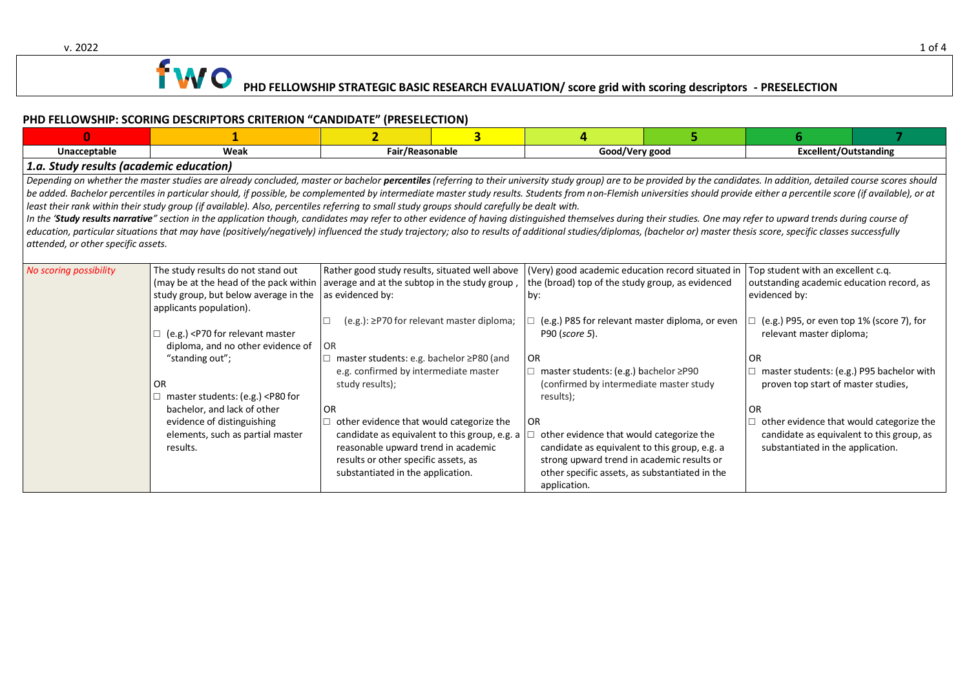v. 2022 2012 1 of 4

## **1 WO** PHD FELLOWSHIP STRATEGIC BASIC RESEARCH EVALUATION/ score grid with scoring descriptors - PRESELECTION

#### **PHD FELLOWSHIP: SCORING DESCRIPTORS CRITERION "CANDIDATE" (PRESELECTION)**

|                                                                                                                                                                                                                                                                                                                                                                                                                                                                                                                                                                                                                                                                                                                                                                                                                                                                                                                                                                                                                                                                                                      |                                                                                                                                                                                                                                                                                                                                                                                                                                                                                                                                                                                                                                                                                                                                                                                                                                                                                                                                                                                | $\overline{2}$  | $\overline{3}$ |                                                                                                                                                                                                                                                                                                                                                                                                                                                                                                                           | 5 | 6                                                                                                                                                                                                                                                                                                                                                                                                                     |  |  |  |
|------------------------------------------------------------------------------------------------------------------------------------------------------------------------------------------------------------------------------------------------------------------------------------------------------------------------------------------------------------------------------------------------------------------------------------------------------------------------------------------------------------------------------------------------------------------------------------------------------------------------------------------------------------------------------------------------------------------------------------------------------------------------------------------------------------------------------------------------------------------------------------------------------------------------------------------------------------------------------------------------------------------------------------------------------------------------------------------------------|--------------------------------------------------------------------------------------------------------------------------------------------------------------------------------------------------------------------------------------------------------------------------------------------------------------------------------------------------------------------------------------------------------------------------------------------------------------------------------------------------------------------------------------------------------------------------------------------------------------------------------------------------------------------------------------------------------------------------------------------------------------------------------------------------------------------------------------------------------------------------------------------------------------------------------------------------------------------------------|-----------------|----------------|---------------------------------------------------------------------------------------------------------------------------------------------------------------------------------------------------------------------------------------------------------------------------------------------------------------------------------------------------------------------------------------------------------------------------------------------------------------------------------------------------------------------------|---|-----------------------------------------------------------------------------------------------------------------------------------------------------------------------------------------------------------------------------------------------------------------------------------------------------------------------------------------------------------------------------------------------------------------------|--|--|--|
| Unacceptable                                                                                                                                                                                                                                                                                                                                                                                                                                                                                                                                                                                                                                                                                                                                                                                                                                                                                                                                                                                                                                                                                         | Weak                                                                                                                                                                                                                                                                                                                                                                                                                                                                                                                                                                                                                                                                                                                                                                                                                                                                                                                                                                           | Fair/Reasonable |                | Good/Very good                                                                                                                                                                                                                                                                                                                                                                                                                                                                                                            |   | <b>Excellent/Outstanding</b>                                                                                                                                                                                                                                                                                                                                                                                          |  |  |  |
| 1.a. Study results (academic education)                                                                                                                                                                                                                                                                                                                                                                                                                                                                                                                                                                                                                                                                                                                                                                                                                                                                                                                                                                                                                                                              |                                                                                                                                                                                                                                                                                                                                                                                                                                                                                                                                                                                                                                                                                                                                                                                                                                                                                                                                                                                |                 |                |                                                                                                                                                                                                                                                                                                                                                                                                                                                                                                                           |   |                                                                                                                                                                                                                                                                                                                                                                                                                       |  |  |  |
| Depending on whether the master studies are already concluded, master or bachelor percentiles (referring to their university study group) are to be provided by the candidates. In addition, detailed course scores should<br>be added. Bachelor percentiles in particular should, if possible, be complemented by intermediate master study results. Students from non-Flemish universities should provide either a percentile score (if available), or at<br>least their rank within their study group (if available). Also, percentiles referring to small study groups should carefully be dealt with.<br>In the 'Study results narrative" section in the application though, candidates may refer to other evidence of having distinguished themselves during their studies. One may refer to upward trends during course of<br>education, particular situations that may have (positively/negatively) influenced the study trajectory; also to results of additional studies/diplomas, (bachelor or) master thesis score, specific classes successfully<br>attended, or other specific assets. |                                                                                                                                                                                                                                                                                                                                                                                                                                                                                                                                                                                                                                                                                                                                                                                                                                                                                                                                                                                |                 |                |                                                                                                                                                                                                                                                                                                                                                                                                                                                                                                                           |   |                                                                                                                                                                                                                                                                                                                                                                                                                       |  |  |  |
| No scoring possibility                                                                                                                                                                                                                                                                                                                                                                                                                                                                                                                                                                                                                                                                                                                                                                                                                                                                                                                                                                                                                                                                               | The study results do not stand out<br>Rather good study results, situated well above<br>(may be at the head of the pack within   average and at the subtop in the study group,<br>study group, but below average in the<br>as evidenced by:<br>applicants population).<br>(e.g.): ≥P70 for relevant master diploma;<br>$\Box$ (e.g.) <p70 for="" master<br="" relevant="">diploma, and no other evidence of<br/><b>OR</b><br/>"standing out";<br/>master students: e.g. bachelor ≥P80 (and<br/>e.g. confirmed by intermediate master<br/><b>OR</b><br/>study results);<br/>master students: (e.g.) <p80 for<br="">bachelor, and lack of other<br/><b>OR</b><br/>evidence of distinguishing<br/>other evidence that would categorize the<br/>elements, such as partial master<br/>candidate as equivalent to this group, e.g. a<br/>reasonable upward trend in academic<br/>results.<br/>results or other specific assets, as<br/>substantiated in the application.</p80></p70> |                 |                | (Very) good academic education record situated in<br>the (broad) top of the study group, as evidenced<br>bv:<br>(e.g.) P85 for relevant master diploma, or even<br>P90 (score 5).<br><b>OR</b><br>master students: (e.g.) bachelor ≥P90<br>(confirmed by intermediate master study<br>results);<br><b>OR</b><br>other evidence that would categorize the<br>candidate as equivalent to this group, e.g. a<br>strong upward trend in academic results or<br>other specific assets, as substantiated in the<br>application. |   | Top student with an excellent c.q.<br>outstanding academic education record, as<br>evidenced by:<br>(e.g.) P95, or even top 1% (score 7), for<br>relevant master diploma;<br><b>OR</b><br>master students: (e.g.) P95 bachelor with<br>proven top start of master studies,<br><b>OR</b><br>other evidence that would categorize the<br>candidate as equivalent to this group, as<br>substantiated in the application. |  |  |  |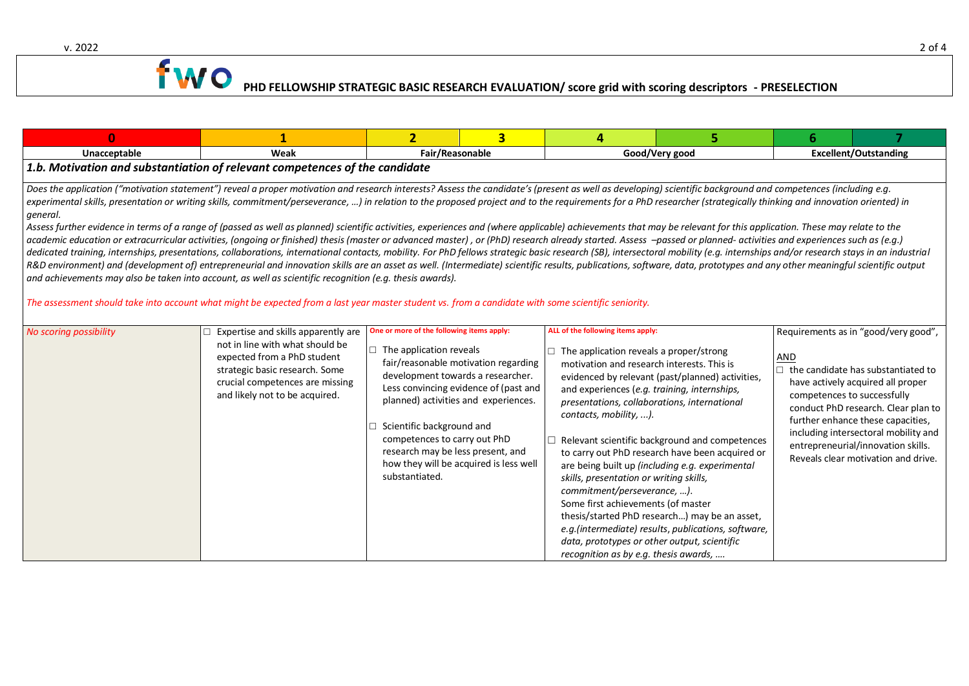v. 2022 2 of 4 and 2 of 4 and 2 of 4 and 2 of 4 and 2 of 4 and 2 of 4 and 2 of 4 and 2 of 4 and 2 of 4 and 2 of 4 and 2 of 4 and 2 of 4 and 2 of 4 and 2 of 4 and 2 of 4 and 2 of 4 and 2 of 4 and 2 of 4 and 2 of 4 and 2 of

# **1 WO** PHD FELLOWSHIP STRATEGIC BASIC RES<u>EARCH EVALUATION</u> score grid with scoring descriptors - PRESELECTION

| $\mathbf{0}$                                                                                                                                                                                                                                                                                                                                                                                                                                                                                                                                                                                                                                                                                                                                                                                                                                                                                                                                                                                                                                                                                                                                                                                                                                                                                                                                                                                                                                                                                                                                                                                                                      |                                                                                                                                                                                                              | $\overline{2}$                                                                                                                                                                                                                       | $\overline{\mathbf{3}}$                                                                                                                                         | 4                                                                                                                                                                                                                                                                                                                                                                                                                                                             |                                                                                                                                                                                                                                                                                                                  | 6                                  |                                                                                                                                                                                                                                                                                                                         |  |  |
|-----------------------------------------------------------------------------------------------------------------------------------------------------------------------------------------------------------------------------------------------------------------------------------------------------------------------------------------------------------------------------------------------------------------------------------------------------------------------------------------------------------------------------------------------------------------------------------------------------------------------------------------------------------------------------------------------------------------------------------------------------------------------------------------------------------------------------------------------------------------------------------------------------------------------------------------------------------------------------------------------------------------------------------------------------------------------------------------------------------------------------------------------------------------------------------------------------------------------------------------------------------------------------------------------------------------------------------------------------------------------------------------------------------------------------------------------------------------------------------------------------------------------------------------------------------------------------------------------------------------------------------|--------------------------------------------------------------------------------------------------------------------------------------------------------------------------------------------------------------|--------------------------------------------------------------------------------------------------------------------------------------------------------------------------------------------------------------------------------------|-----------------------------------------------------------------------------------------------------------------------------------------------------------------|---------------------------------------------------------------------------------------------------------------------------------------------------------------------------------------------------------------------------------------------------------------------------------------------------------------------------------------------------------------------------------------------------------------------------------------------------------------|------------------------------------------------------------------------------------------------------------------------------------------------------------------------------------------------------------------------------------------------------------------------------------------------------------------|------------------------------------|-------------------------------------------------------------------------------------------------------------------------------------------------------------------------------------------------------------------------------------------------------------------------------------------------------------------------|--|--|
| Unacceptable                                                                                                                                                                                                                                                                                                                                                                                                                                                                                                                                                                                                                                                                                                                                                                                                                                                                                                                                                                                                                                                                                                                                                                                                                                                                                                                                                                                                                                                                                                                                                                                                                      | Weak                                                                                                                                                                                                         | Fair/Reasonable<br>Good/Very good                                                                                                                                                                                                    |                                                                                                                                                                 |                                                                                                                                                                                                                                                                                                                                                                                                                                                               |                                                                                                                                                                                                                                                                                                                  | <b>Excellent/Outstanding</b>       |                                                                                                                                                                                                                                                                                                                         |  |  |
| 1.b. Motivation and substantiation of relevant competences of the candidate                                                                                                                                                                                                                                                                                                                                                                                                                                                                                                                                                                                                                                                                                                                                                                                                                                                                                                                                                                                                                                                                                                                                                                                                                                                                                                                                                                                                                                                                                                                                                       |                                                                                                                                                                                                              |                                                                                                                                                                                                                                      |                                                                                                                                                                 |                                                                                                                                                                                                                                                                                                                                                                                                                                                               |                                                                                                                                                                                                                                                                                                                  |                                    |                                                                                                                                                                                                                                                                                                                         |  |  |
| Does the application ("motivation statement") reveal a proper motivation and research interests? Assess the candidate's (present as well as developing) scientific background and competences (including e.g.<br>experimental skills, presentation or writing skills, commitment/perseverance, ) in relation to the proposed project and to the requirements for a PhD researcher (strategically thinking and innovation oriented) in<br>general.<br>Assess further evidence in terms of a range of (passed as well as planned) scientific activities, experiences and (where applicable) achievements that may be relevant for this application. These may relate to the<br>academic education or extracurricular activities, (ongoing or finished) thesis (master or advanced master), or (PhD) research already started. Assess -passed or planned- activities and experiences such as (e.g.)<br>dedicated training, internships, presentations, collaborations, international contacts, mobility. For PhD fellows strategic basic research (SB), intersectoral mobility (e.g. internships and/or research stays in an industri<br>R&D environment) and (development of) entrepreneurial and innovation skills are an asset as well. (Intermediate) scientific results, publications, software, data, prototypes and any other meaningful scientific output<br>and achievements may also be taken into account, as well as scientific recognition (e.g. thesis awards).<br>The assessment should take into account what might be expected from a last year master student vs. from a candidate with some scientific seniority. |                                                                                                                                                                                                              |                                                                                                                                                                                                                                      |                                                                                                                                                                 |                                                                                                                                                                                                                                                                                                                                                                                                                                                               |                                                                                                                                                                                                                                                                                                                  |                                    |                                                                                                                                                                                                                                                                                                                         |  |  |
| No scoring possibility                                                                                                                                                                                                                                                                                                                                                                                                                                                                                                                                                                                                                                                                                                                                                                                                                                                                                                                                                                                                                                                                                                                                                                                                                                                                                                                                                                                                                                                                                                                                                                                                            | Expertise and skills apparently are<br>not in line with what should be<br>expected from a PhD student<br>strategic basic research. Some<br>crucial competences are missing<br>and likely not to be acquired. | One or more of the following items apply:<br>$\Box$ The application reveals<br>development towards a researcher.<br>Scientific background and<br>competences to carry out PhD<br>research may be less present, and<br>substantiated. | fair/reasonable motivation regarding<br>Less convincing evidence of (past and<br>planned) activities and experiences.<br>how they will be acquired is less well | ALL of the following items apply:<br>The application reveals a proper/strong<br>motivation and research interests. This is<br>and experiences (e.g. training, internships,<br>presentations, collaborations, international<br>contacts, mobility, ).<br>skills, presentation or writing skills,<br>commitment/perseverance, ).<br>Some first achievements (of master<br>data, prototypes or other output, scientific<br>recognition as by e.g. thesis awards, | evidenced by relevant (past/planned) activities,<br>Relevant scientific background and competences<br>to carry out PhD research have been acquired or<br>are being built up (including e.g. experimental<br>thesis/started PhD research) may be an asset,<br>e.g.(intermediate) results, publications, software, | AND<br>competences to successfully | Requirements as in "good/very good",<br>$\Box$ the candidate has substantiated to<br>have actively acquired all proper<br>conduct PhD research. Clear plan to<br>further enhance these capacities,<br>including intersectoral mobility and<br>entrepreneurial/innovation skills.<br>Reveals clear motivation and drive. |  |  |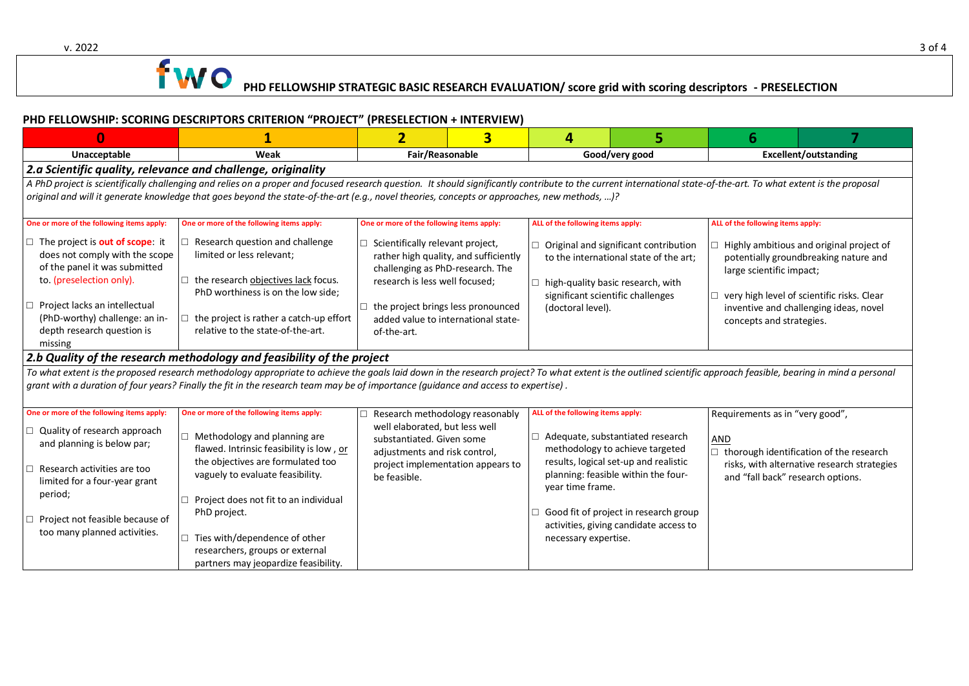v. 2022 3 of 4

## **1 WO** PHD FELLOWSHIP STRATEGIC BASIC RESEARCH EVALUATION/ score grid with scoring descriptors - PRESELECTION

#### **PHD FELLOWSHIP: SCORING DESCRIPTORS CRITERION "PROJECT" (PRESELECTION + INTERVIEW)**

| $\Omega$                                                                                                                                                                                                                                                                                                                                                           |                                                                                                                                                                                                       | $\overline{2}$                                                                                                                                         | $\overline{\mathbf{3}}$           | 4                                                                                                                                                                              | 5                                                                                                                                                                                                                   | 6                                                                                                                                                                                                                                             |                                                                                                                                                                       |  |  |  |
|--------------------------------------------------------------------------------------------------------------------------------------------------------------------------------------------------------------------------------------------------------------------------------------------------------------------------------------------------------------------|-------------------------------------------------------------------------------------------------------------------------------------------------------------------------------------------------------|--------------------------------------------------------------------------------------------------------------------------------------------------------|-----------------------------------|--------------------------------------------------------------------------------------------------------------------------------------------------------------------------------|---------------------------------------------------------------------------------------------------------------------------------------------------------------------------------------------------------------------|-----------------------------------------------------------------------------------------------------------------------------------------------------------------------------------------------------------------------------------------------|-----------------------------------------------------------------------------------------------------------------------------------------------------------------------|--|--|--|
| Unacceptable<br>Weak                                                                                                                                                                                                                                                                                                                                               |                                                                                                                                                                                                       | Fair/Reasonable                                                                                                                                        |                                   | Good/very good                                                                                                                                                                 |                                                                                                                                                                                                                     | <b>Excellent/outstanding</b>                                                                                                                                                                                                                  |                                                                                                                                                                       |  |  |  |
| 2.a Scientific quality, relevance and challenge, originality                                                                                                                                                                                                                                                                                                       |                                                                                                                                                                                                       |                                                                                                                                                        |                                   |                                                                                                                                                                                |                                                                                                                                                                                                                     |                                                                                                                                                                                                                                               |                                                                                                                                                                       |  |  |  |
| A PhD project is scientifically challenging and relies on a proper and focused research question. It should significantly contribute to the current international state-of-the-art. To what extent is the proposal<br>original and will it generate knowledge that goes beyond the state-of-the-art (e.g., novel theories, concepts or approaches, new methods, )? |                                                                                                                                                                                                       |                                                                                                                                                        |                                   |                                                                                                                                                                                |                                                                                                                                                                                                                     |                                                                                                                                                                                                                                               |                                                                                                                                                                       |  |  |  |
| One or more of the following items apply:                                                                                                                                                                                                                                                                                                                          | One or more of the following items apply:                                                                                                                                                             | One or more of the following items apply:                                                                                                              |                                   | ALL of the following items apply:                                                                                                                                              |                                                                                                                                                                                                                     | ALL of the following items apply:                                                                                                                                                                                                             |                                                                                                                                                                       |  |  |  |
| $\Box$ The project is <b>out of scope</b> : it<br>does not comply with the scope<br>of the panel it was submitted<br>to. (preselection only).                                                                                                                                                                                                                      | Research question and challenge<br>limited or less relevant;<br>$\Box$ the research objectives lack focus.<br>PhD worthiness is on the low side;                                                      | $\Box$ Scientifically relevant project,<br>rather high quality, and sufficiently<br>challenging as PhD-research. The<br>research is less well focused; |                                   | Original and significant contribution<br>to the international state of the art;<br>high-quality basic research, with<br>significant scientific challenges<br>(doctoral level). |                                                                                                                                                                                                                     | $\Box$ Highly ambitious and original project of<br>potentially groundbreaking nature and<br>large scientific impact;<br>very high level of scientific risks. Clear<br>□<br>inventive and challenging ideas, novel<br>concepts and strategies. |                                                                                                                                                                       |  |  |  |
| Project lacks an intellectual<br>(PhD-worthy) challenge: an in-<br>depth research question is<br>missing                                                                                                                                                                                                                                                           | $\Box$ the project is rather a catch-up effort<br>relative to the state-of-the-art.                                                                                                                   | $\Box$ the project brings less pronounced<br>added value to international state-<br>of-the-art.                                                        |                                   |                                                                                                                                                                                |                                                                                                                                                                                                                     |                                                                                                                                                                                                                                               |                                                                                                                                                                       |  |  |  |
|                                                                                                                                                                                                                                                                                                                                                                    | 2.b Quality of the research methodology and feasibility of the project                                                                                                                                |                                                                                                                                                        |                                   |                                                                                                                                                                                |                                                                                                                                                                                                                     |                                                                                                                                                                                                                                               |                                                                                                                                                                       |  |  |  |
| To what extent is the proposed research methodology appropriate to achieve the goals laid down in the research project? To what extent is the outlined scientific approach feasible, bearing in mind a personal<br>grant with a duration of four years? Finally the fit in the research team may be of importance (guidance and access to expertise).              |                                                                                                                                                                                                       |                                                                                                                                                        |                                   |                                                                                                                                                                                |                                                                                                                                                                                                                     |                                                                                                                                                                                                                                               |                                                                                                                                                                       |  |  |  |
| One or more of the following items apply:<br>Quality of research approach<br>and planning is below par;<br>Research activities are too<br>limited for a four-year grant                                                                                                                                                                                            | One or more of the following items apply:<br>$\Box$ Methodology and planning are<br>flawed. Intrinsic feasibility is low, or<br>the objectives are formulated too<br>vaguely to evaluate feasibility. | Research methodology reasonably<br>well elaborated, but less well<br>substantiated. Given some<br>adjustments and risk control,<br>be feasible.        | project implementation appears to |                                                                                                                                                                                | ALL of the following items apply:<br>$\Box$ Adequate, substantiated research<br>methodology to achieve targeted<br>results, logical set-up and realistic<br>planning: feasible within the four-<br>year time frame. |                                                                                                                                                                                                                                               | Requirements as in "very good",<br>$\Box$ thorough identification of the research<br>risks, with alternative research strategies<br>and "fall back" research options. |  |  |  |
| period;<br>Project not feasible because of<br>too many planned activities.                                                                                                                                                                                                                                                                                         | Project does not fit to an individual<br>$\Box$<br>PhD project.<br>Ties with/dependence of other<br>researchers, groups or external<br>partners may jeopardize feasibility.                           |                                                                                                                                                        |                                   | necessary expertise.                                                                                                                                                           | Good fit of project in research group<br>activities, giving candidate access to                                                                                                                                     |                                                                                                                                                                                                                                               |                                                                                                                                                                       |  |  |  |